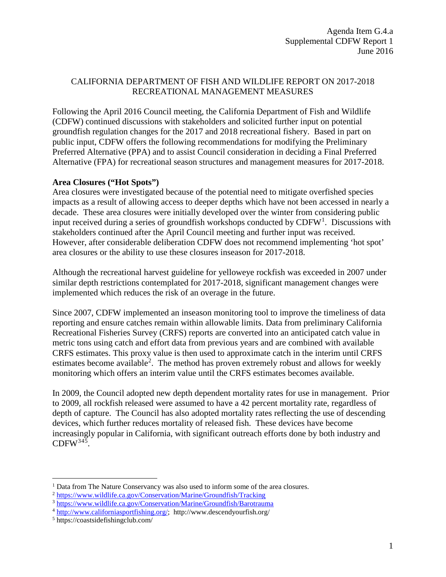# CALIFORNIA DEPARTMENT OF FISH AND WILDLIFE REPORT ON 2017-2018 RECREATIONAL MANAGEMENT MEASURES

Following the April 2016 Council meeting, the California Department of Fish and Wildlife (CDFW) continued discussions with stakeholders and solicited further input on potential groundfish regulation changes for the 2017 and 2018 recreational fishery. Based in part on public input, CDFW offers the following recommendations for modifying the Preliminary Preferred Alternative (PPA) and to assist Council consideration in deciding a Final Preferred Alternative (FPA) for recreational season structures and management measures for 2017-2018.

### **Area Closures ("Hot Spots")**

Area closures were investigated because of the potential need to mitigate overfished species impacts as a result of allowing access to deeper depths which have not been accessed in nearly a decade. These area closures were initially developed over the winter from considering public input received during a series of groundfish workshops conducted by  $CDFW<sup>1</sup>$  $CDFW<sup>1</sup>$  $CDFW<sup>1</sup>$ . Discussions with stakeholders continued after the April Council meeting and further input was received. However, after considerable deliberation CDFW does not recommend implementing 'hot spot' area closures or the ability to use these closures inseason for 2017-2018.

Although the recreational harvest guideline for yelloweye rockfish was exceeded in 2007 under similar depth restrictions contemplated for 2017-2018, significant management changes were implemented which reduces the risk of an overage in the future.

Since 2007, CDFW implemented an inseason monitoring tool to improve the timeliness of data reporting and ensure catches remain within allowable limits. Data from preliminary California Recreational Fisheries Survey (CRFS) reports are converted into an anticipated catch value in metric tons using catch and effort data from previous years and are combined with available CRFS estimates. This proxy value is then used to approximate catch in the interim until CRFS estimates become available<sup>[2](#page-0-1)</sup>. The method has proven extremely robust and allows for weekly monitoring which offers an interim value until the CRFS estimates becomes available.

In 2009, the Council adopted new depth dependent mortality rates for use in management. Prior to 2009, all rockfish released were assumed to have a 42 percent mortality rate, regardless of depth of capture. The Council has also adopted mortality rates reflecting the use of descending devices, which further reduces mortality of released fish. These devices have become increasingly popular in California, with significant outreach efforts done by both industry and  $CDFW<sup>345</sup>$  $CDFW<sup>345</sup>$  $CDFW<sup>345</sup>$  $CDFW<sup>345</sup>$  $CDFW<sup>345</sup>$ .

<span id="page-0-0"></span><sup>&</sup>lt;sup>1</sup> Data from The Nature Conservancy was also used to inform some of the area closures.

<span id="page-0-1"></span><sup>2</sup> <https://www.wildlife.ca.gov/Conservation/Marine/Groundfish/Tracking>

<span id="page-0-3"></span><span id="page-0-2"></span><sup>3</sup> <https://www.wildlife.ca.gov/Conservation/Marine/Groundfish/Barotrauma>

<sup>4</sup> [http://www.californiasportfishing.org/;](http://www.californiasportfishing.org/) http://www.descendyourfish.org/

<span id="page-0-4"></span><sup>5</sup> https://coastsidefishingclub.com/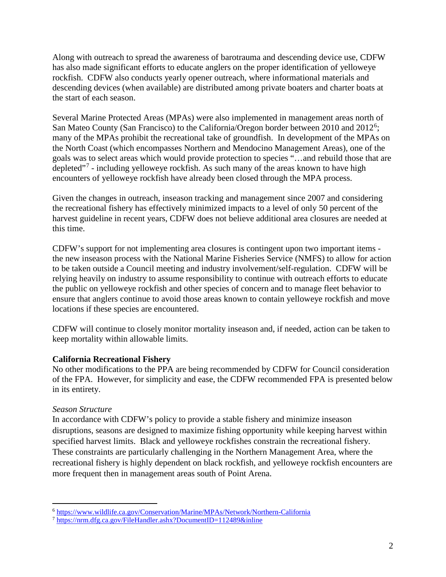Along with outreach to spread the awareness of barotrauma and descending device use, CDFW has also made significant efforts to educate anglers on the proper identification of yelloweye rockfish. CDFW also conducts yearly opener outreach, where informational materials and descending devices (when available) are distributed among private boaters and charter boats at the start of each season.

Several Marine Protected Areas (MPAs) were also implemented in management areas north of San Mateo County (San Francisco) to the California/Oregon border between 2010 and 2012<sup>[6](#page-1-0)</sup>; many of the MPAs prohibit the recreational take of groundfish. In development of the MPAs on the North Coast (which encompasses Northern and Mendocino Management Areas), one of the goals was to select areas which would provide protection to species "…and rebuild those that are depleted<sup>"[7](#page-1-1)</sup> - including yelloweye rockfish. As such many of the areas known to have high encounters of yelloweye rockfish have already been closed through the MPA process.

Given the changes in outreach, inseason tracking and management since 2007 and considering the recreational fishery has effectively minimized impacts to a level of only 50 percent of the harvest guideline in recent years, CDFW does not believe additional area closures are needed at this time.

CDFW's support for not implementing area closures is contingent upon two important items the new inseason process with the National Marine Fisheries Service (NMFS) to allow for action to be taken outside a Council meeting and industry involvement/self-regulation. CDFW will be relying heavily on industry to assume responsibility to continue with outreach efforts to educate the public on yelloweye rockfish and other species of concern and to manage fleet behavior to ensure that anglers continue to avoid those areas known to contain yelloweye rockfish and move locations if these species are encountered.

CDFW will continue to closely monitor mortality inseason and, if needed, action can be taken to keep mortality within allowable limits.

## **California Recreational Fishery**

No other modifications to the PPA are being recommended by CDFW for Council consideration of the FPA. However, for simplicity and ease, the CDFW recommended FPA is presented below in its entirety.

#### *Season Structure*

In accordance with CDFW's policy to provide a stable fishery and minimize inseason disruptions, seasons are designed to maximize fishing opportunity while keeping harvest within specified harvest limits. Black and yelloweye rockfishes constrain the recreational fishery. These constraints are particularly challenging in the Northern Management Area, where the recreational fishery is highly dependent on black rockfish, and yelloweye rockfish encounters are more frequent then in management areas south of Point Arena.

<span id="page-1-0"></span> <sup>6</sup> <https://www.wildlife.ca.gov/Conservation/Marine/MPAs/Network/Northern-California>

<span id="page-1-1"></span><sup>7</sup> <https://nrm.dfg.ca.gov/FileHandler.ashx?DocumentID=112489&inline>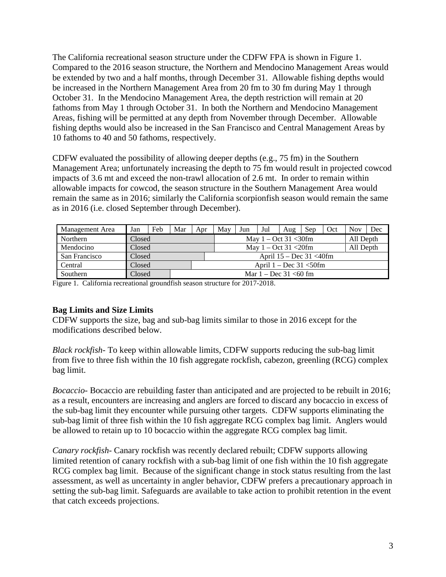The California recreational season structure under the CDFW FPA is shown in Figure 1. Compared to the 2016 season structure, the Northern and Mendocino Management Areas would be extended by two and a half months, through December 31. Allowable fishing depths would be increased in the Northern Management Area from 20 fm to 30 fm during May 1 through October 31. In the Mendocino Management Area, the depth restriction will remain at 20 fathoms from May 1 through October 31. In both the Northern and Mendocino Management Areas, fishing will be permitted at any depth from November through December. Allowable fishing depths would also be increased in the San Francisco and Central Management Areas by 10 fathoms to 40 and 50 fathoms, respectively.

CDFW evaluated the possibility of allowing deeper depths (e.g., 75 fm) in the Southern Management Area; unfortunately increasing the depth to 75 fm would result in projected cowcod impacts of 3.6 mt and exceed the non-trawl allocation of 2.6 mt. In order to remain within allowable impacts for cowcod, the season structure in the Southern Management Area would remain the same as in 2016; similarly the California scorpionfish season would remain the same as in 2016 (i.e. closed September through December).

| Management Area | Jan    | Feb | Mar                        | Apr | May                              | Jun                              | Jul | Aug | Sep       | Oct | <b>Nov</b> | Dec |
|-----------------|--------|-----|----------------------------|-----|----------------------------------|----------------------------------|-----|-----|-----------|-----|------------|-----|
| Northern        | Closed |     |                            |     |                                  | May $1 - \text{Oct } 31 < 30$ fm |     |     |           |     | All Depth  |     |
| Mendocino       | Closed |     |                            |     | May $1 - \text{Oct } 31 < 20$ fm |                                  |     |     | All Depth |     |            |     |
| San Francisco   | Closed |     |                            |     | April $15 - Dec 31 < 40$ fm      |                                  |     |     |           |     |            |     |
| Central         | Closed |     | April $1 - Dec 31 < 50$ fm |     |                                  |                                  |     |     |           |     |            |     |
| Southern        | Closed |     | Mar $1 - Dec 31 < 60$ fm   |     |                                  |                                  |     |     |           |     |            |     |

Figure 1. California recreational groundfish season structure for 2017-2018.

#### **Bag Limits and Size Limits**

CDFW supports the size, bag and sub-bag limits similar to those in 2016 except for the modifications described below.

*Black rockfish*- To keep within allowable limits, CDFW supports reducing the sub-bag limit from five to three fish within the 10 fish aggregate rockfish, cabezon, greenling (RCG) complex bag limit.

*Bocaccio*- Bocaccio are rebuilding faster than anticipated and are projected to be rebuilt in 2016; as a result, encounters are increasing and anglers are forced to discard any bocaccio in excess of the sub-bag limit they encounter while pursuing other targets. CDFW supports eliminating the sub-bag limit of three fish within the 10 fish aggregate RCG complex bag limit. Anglers would be allowed to retain up to 10 bocaccio within the aggregate RCG complex bag limit.

*Canary rockfish*- Canary rockfish was recently declared rebuilt; CDFW supports allowing limited retention of canary rockfish with a sub-bag limit of one fish within the 10 fish aggregate RCG complex bag limit. Because of the significant change in stock status resulting from the last assessment, as well as uncertainty in angler behavior, CDFW prefers a precautionary approach in setting the sub-bag limit. Safeguards are available to take action to prohibit retention in the event that catch exceeds projections.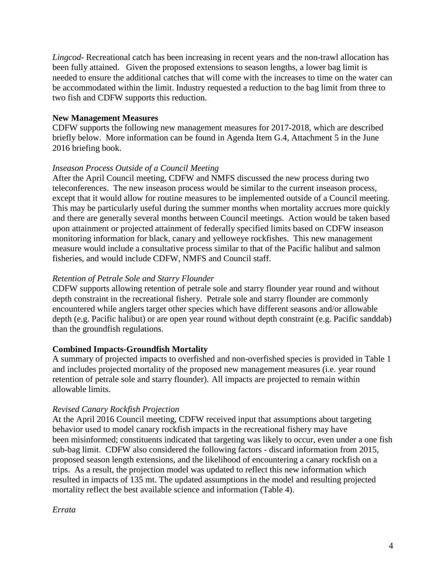*Lingcod*- Recreational catch has been increasing in recent years and the non-trawl allocation has been fully attained. Given the proposed extensions to season lengths, a lower bag limit is needed to ensure the additional catches that will come with the increases to time on the water can be accommodated within the limit. Industry requested a reduction to the bag limit from three to two fish and CDFW supports this reduction.

## **New Management Measures**

CDFW supports the following new management measures for 2017-2018, which are described briefly below. More information can be found in Agenda Item G.4, Attachment 5 in the June 2016 briefing book.

#### *Inseason Process Outside of a Council Meeting*

After the April Council meeting, CDFW and NMFS discussed the new process during two teleconferences. The new inseason process would be similar to the current inseason process, except that it would allow for routine measures to be implemented outside of a Council meeting. This may be particularly useful during the summer months when mortality accrues more quickly and there are generally several months between Council meetings. Action would be taken based upon attainment or projected attainment of federally specified limits based on CDFW inseason monitoring information for black, canary and yelloweye rockfishes. This new management measure would include a consultative process similar to that of the Pacific halibut and salmon fisheries, and would include CDFW, NMFS and Council staff.

## *Retention of Petrale Sole and Starry Flounder*

CDFW supports allowing retention of petrale sole and starry flounder year round and without depth constraint in the recreational fishery. Petrale sole and starry flounder are commonly encountered while anglers target other species which have different seasons and/or allowable depth (e.g. Pacific halibut) or are open year round without depth constraint (e.g. Pacific sanddab) than the groundfish regulations.

#### **Combined Impacts-Groundfish Mortality**

A summary of projected impacts to overfished and non-overfished species is provided in Table 1 and includes projected mortality of the proposed new management measures (i.e. year round retention of petrale sole and starry flounder). All impacts are projected to remain within allowable limits.

#### *Revised Canary Rockfish Projection*

At the April 2016 Council meeting, CDFW received input that assumptions about targeting behavior used to model canary rockfish impacts in the recreational fishery may have been misinformed; constituents indicated that targeting was likely to occur, even under a one fish sub-bag limit. CDFW also considered the following factors - discard information from 2015, proposed season length extensions, and the likelihood of encountering a canary rockfish on a trips. As a result, the projection model was updated to reflect this new information which resulted in impacts of 135 mt. The updated assumptions in the model and resulting projected mortality reflect the best available science and information (Table 4).

#### *Errata*